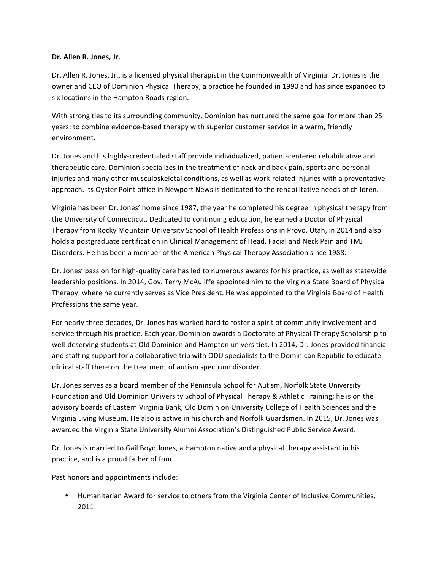## Dr. Allen R. Jones, Jr.

Dr. Allen R. Jones, Jr., is a licensed physical therapist in the Commonwealth of Virginia. Dr. Jones is the owner and CEO of Dominion Physical Therapy, a practice he founded in 1990 and has since expanded to six locations in the Hampton Roads region.

With strong ties to its surrounding community, Dominion has nurtured the same goal for more than 25 years: to combine evidence-based therapy with superior customer service in a warm, friendly environment. 

Dr. Jones and his highly-credentialed staff provide individualized, patient-centered rehabilitative and therapeutic care. Dominion specializes in the treatment of neck and back pain, sports and personal injuries and many other musculoskeletal conditions, as well as work-related injuries with a preventative approach. Its Oyster Point office in Newport News is dedicated to the rehabilitative needs of children.

Virginia has been Dr. Jones' home since 1987, the year he completed his degree in physical therapy from the University of Connecticut. Dedicated to continuing education, he earned a Doctor of Physical Therapy from Rocky Mountain University School of Health Professions in Provo, Utah, in 2014 and also holds a postgraduate certification in Clinical Management of Head, Facial and Neck Pain and TMJ Disorders. He has been a member of the American Physical Therapy Association since 1988.

Dr. Jones' passion for high-quality care has led to numerous awards for his practice, as well as statewide leadership positions. In 2014, Gov. Terry McAuliffe appointed him to the Virginia State Board of Physical Therapy, where he currently serves as Vice President. He was appointed to the Virginia Board of Health Professions the same year.

For nearly three decades, Dr. Jones has worked hard to foster a spirit of community involvement and service through his practice. Each year, Dominion awards a Doctorate of Physical Therapy Scholarship to well-deserving students at Old Dominion and Hampton universities. In 2014, Dr. Jones provided financial and staffing support for a collaborative trip with ODU specialists to the Dominican Republic to educate clinical staff there on the treatment of autism spectrum disorder.

Dr. Jones serves as a board member of the Peninsula School for Autism, Norfolk State University Foundation and Old Dominion University School of Physical Therapy & Athletic Training; he is on the advisory boards of Eastern Virginia Bank, Old Dominion University College of Health Sciences and the Virginia Living Museum. He also is active in his church and Norfolk Guardsmen. In 2015, Dr. Jones was awarded the Virginia State University Alumni Association's Distinguished Public Service Award.

Dr. Jones is married to Gail Boyd Jones, a Hampton native and a physical therapy assistant in his practice, and is a proud father of four.

Past honors and appointments include:

• Humanitarian Award for service to others from the Virginia Center of Inclusive Communities, 2011